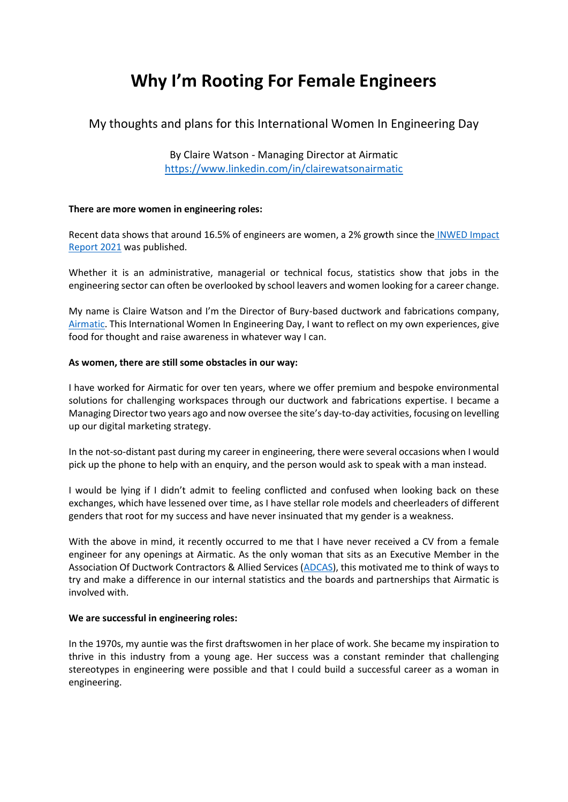# **Why I'm Rooting For Female Engineers**

# My thoughts and plans for this International Women In Engineering Day

By Claire Watson - Managing Director at Airmatic <https://www.linkedin.com/in/clairewatsonairmatic>

## **There are more women in engineering roles:**

Recent data shows that around 16.5% of engineers are women, a 2% growth since the INWED Impact [Report 2021](https://www.inwed.org.uk/wp-content/uploads/2021/10/GM-INWED-Impact-Report-2021-Final.pdf) was published.

Whether it is an administrative, managerial or technical focus, statistics show that jobs in the engineering sector can often be overlooked by school leavers and women looking for a career change.

My name is Claire Watson and I'm the Director of Bury-based ductwork and fabrications company, [Airmatic.](https://airmatic.co.uk/) This International Women In Engineering Day, I want to reflect on my own experiences, give food for thought and raise awareness in whatever way I can.

#### **As women, there are still some obstacles in our way:**

I have worked for Airmatic for over ten years, where we offer premium and bespoke environmental solutions for challenging workspaces through our ductwork and fabrications expertise. I became a Managing Director two years ago and now oversee the site's day-to-day activities, focusing on levelling up our digital marketing strategy.

In the not-so-distant past during my career in engineering, there were several occasions when I would pick up the phone to help with an enquiry, and the person would ask to speak with a man instead.

I would be lying if I didn't admit to feeling conflicted and confused when looking back on these exchanges, which have lessened over time, as I have stellar role models and cheerleaders of different genders that root for my success and have never insinuated that my gender is a weakness.

With the above in mind, it recently occurred to me that I have never received a CV from a female engineer for any openings at Airmatic. As the only woman that sits as an Executive Member in the Association Of Ductwork Contractors & Allied Services [\(ADCAS\)](https://www.adcas.co.uk/), this motivated me to think of ways to try and make a difference in our internal statistics and the boards and partnerships that Airmatic is involved with.

#### **We are successful in engineering roles:**

In the 1970s, my auntie was the first draftswomen in her place of work. She became my inspiration to thrive in this industry from a young age. Her success was a constant reminder that challenging stereotypes in engineering were possible and that I could build a successful career as a woman in engineering.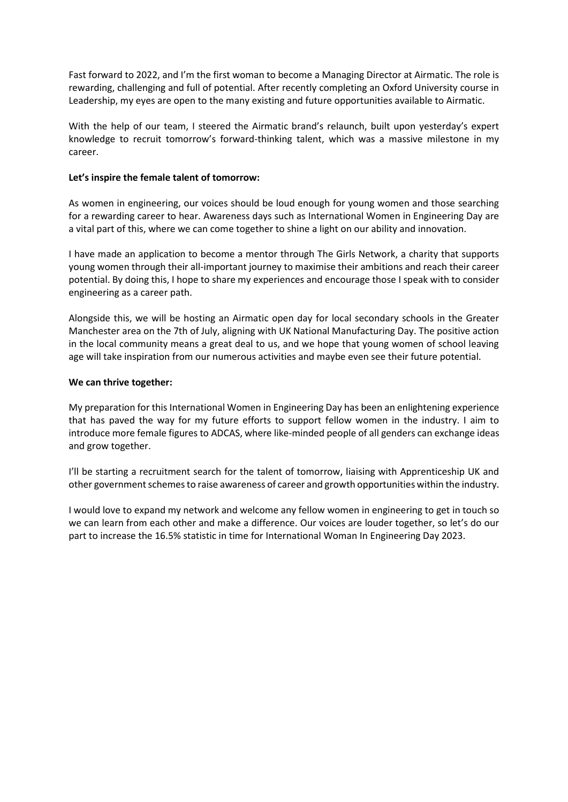Fast forward to 2022, and I'm the first woman to become a Managing Director at Airmatic. The role is rewarding, challenging and full of potential. After recently completing an Oxford University course in Leadership, my eyes are open to the many existing and future opportunities available to Airmatic.

With the help of our team, I steered the Airmatic brand's relaunch, built upon yesterday's expert knowledge to recruit tomorrow's forward-thinking talent, which was a massive milestone in my career.

## **Let's inspire the female talent of tomorrow:**

As women in engineering, our voices should be loud enough for young women and those searching for a rewarding career to hear. Awareness days such as International Women in Engineering Day are a vital part of this, where we can come together to shine a light on our ability and innovation.

I have made an application to become a mentor through The Girls Network, a charity that supports young women through their all-important journey to maximise their ambitions and reach their career potential. By doing this, I hope to share my experiences and encourage those I speak with to consider engineering as a career path.

Alongside this, we will be hosting an Airmatic open day for local secondary schools in the Greater Manchester area on the 7th of July, aligning with UK National Manufacturing Day. The positive action in the local community means a great deal to us, and we hope that young women of school leaving age will take inspiration from our numerous activities and maybe even see their future potential.

## **We can thrive together:**

My preparation for this International Women in Engineering Day has been an enlightening experience that has paved the way for my future efforts to support fellow women in the industry. I aim to introduce more female figures to ADCAS, where like-minded people of all genders can exchange ideas and grow together.

I'll be starting a recruitment search for the talent of tomorrow, liaising with Apprenticeship UK and other government schemes to raise awareness of career and growth opportunities within the industry.

I would love to expand my network and welcome any fellow women in engineering to get in touch so we can learn from each other and make a difference. Our voices are louder together, so let's do our part to increase the 16.5% statistic in time for International Woman In Engineering Day 2023.